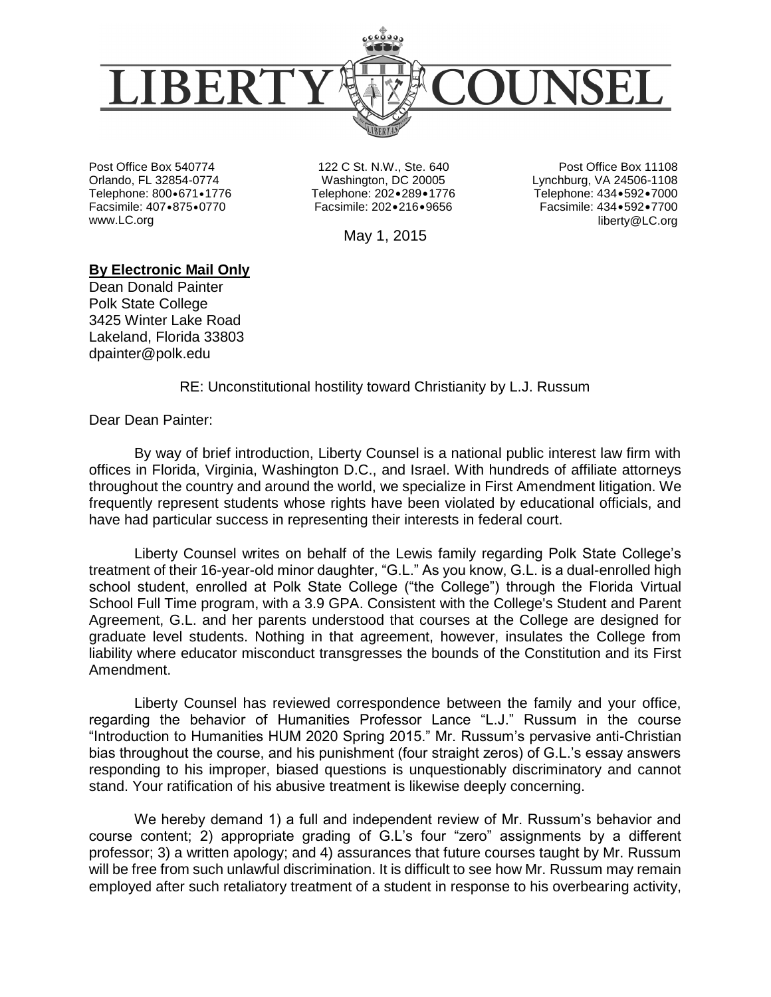

Post Office Box 540774 Orlando, FL 32854-0774 Telephone: 800.671.1776 Facsimile: 407 • 875 • 0770 www.LC.org

122 C St. N.W., Ste. 640 Washington, DC 20005 Telephone: 202•289•1776 Facsimile: 202.216.9656

Post Office Box 11108 Lynchburg, VA 24506-1108 Telephone: 434 • 592 • 7000 Facsimile: 434 • 592 • 7700 liberty@LC.org

May 1, 2015

## **By Electronic Mail Only**

Dean Donald Painter Polk State College 3425 Winter Lake Road Lakeland, Florida 33803 dpainter@polk.edu

RE: Unconstitutional hostility toward Christianity by L.J. Russum

Dear Dean Painter:

By way of brief introduction, Liberty Counsel is a national public interest law firm with offices in Florida, Virginia, Washington D.C., and Israel. With hundreds of affiliate attorneys throughout the country and around the world, we specialize in First Amendment litigation. We frequently represent students whose rights have been violated by educational officials, and have had particular success in representing their interests in federal court.

Liberty Counsel writes on behalf of the Lewis family regarding Polk State College's treatment of their 16-year-old minor daughter, "G.L." As you know, G.L. is a dual-enrolled high school student, enrolled at Polk State College ("the College") through the Florida Virtual School Full Time program, with a 3.9 GPA. Consistent with the College's Student and Parent Agreement, G.L. and her parents understood that courses at the College are designed for graduate level students. Nothing in that agreement, however, insulates the College from liability where educator misconduct transgresses the bounds of the Constitution and its First Amendment.

Liberty Counsel has reviewed correspondence between the family and your office, regarding the behavior of Humanities Professor Lance "L.J." Russum in the course "Introduction to Humanities HUM 2020 Spring 2015." Mr. Russum's pervasive anti-Christian bias throughout the course, and his punishment (four straight zeros) of G.L.'s essay answers responding to his improper, biased questions is unquestionably discriminatory and cannot stand. Your ratification of his abusive treatment is likewise deeply concerning.

We hereby demand 1) a full and independent review of Mr. Russum's behavior and course content; 2) appropriate grading of G.L's four "zero" assignments by a different professor; 3) a written apology; and 4) assurances that future courses taught by Mr. Russum will be free from such unlawful discrimination. It is difficult to see how Mr. Russum may remain employed after such retaliatory treatment of a student in response to his overbearing activity,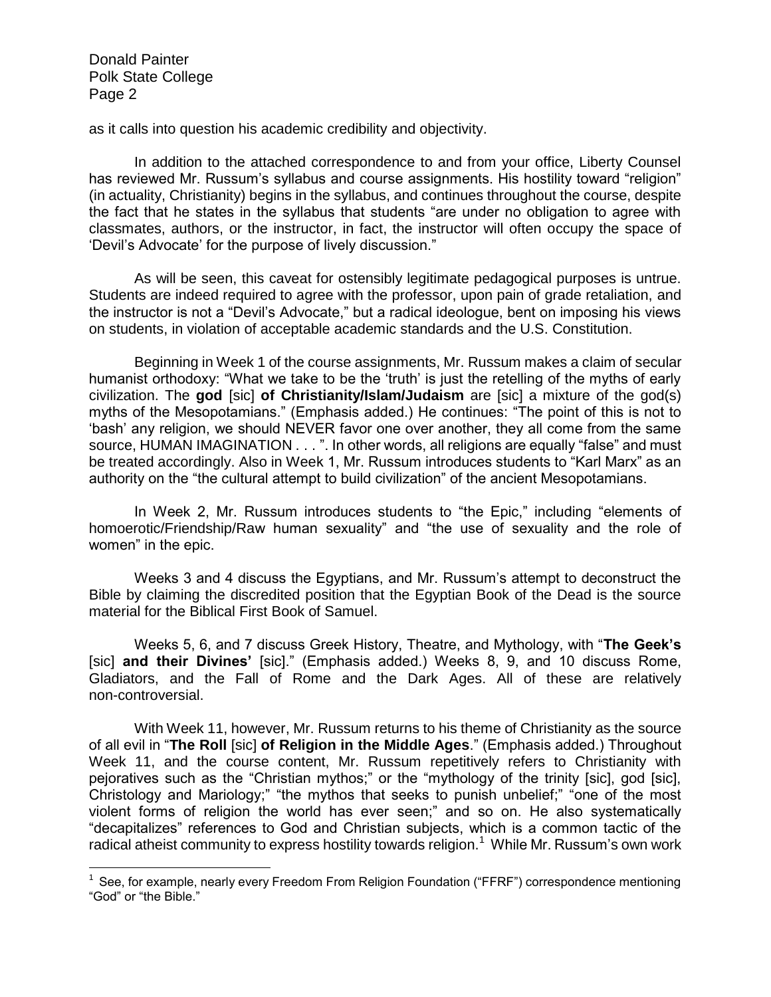$\overline{a}$ 

as it calls into question his academic credibility and objectivity.

In addition to the attached correspondence to and from your office, Liberty Counsel has reviewed Mr. Russum's syllabus and course assignments. His hostility toward "religion" (in actuality, Christianity) begins in the syllabus, and continues throughout the course, despite the fact that he states in the syllabus that students "are under no obligation to agree with classmates, authors, or the instructor, in fact, the instructor will often occupy the space of 'Devil's Advocate' for the purpose of lively discussion."

As will be seen, this caveat for ostensibly legitimate pedagogical purposes is untrue. Students are indeed required to agree with the professor, upon pain of grade retaliation, and the instructor is not a "Devil's Advocate," but a radical ideologue, bent on imposing his views on students, in violation of acceptable academic standards and the U.S. Constitution.

Beginning in Week 1 of the course assignments, Mr. Russum makes a claim of secular humanist orthodoxy: "What we take to be the 'truth' is just the retelling of the myths of early civilization. The **god** [sic] **of Christianity/Islam/Judaism** are [sic] a mixture of the god(s) myths of the Mesopotamians." (Emphasis added.) He continues: "The point of this is not to 'bash' any religion, we should NEVER favor one over another, they all come from the same source, HUMAN IMAGINATION . . . ". In other words, all religions are equally "false" and must be treated accordingly. Also in Week 1, Mr. Russum introduces students to "Karl Marx" as an authority on the "the cultural attempt to build civilization" of the ancient Mesopotamians.

In Week 2, Mr. Russum introduces students to "the Epic," including "elements of homoerotic/Friendship/Raw human sexuality" and "the use of sexuality and the role of women" in the epic.

Weeks 3 and 4 discuss the Egyptians, and Mr. Russum's attempt to deconstruct the Bible by claiming the discredited position that the Egyptian Book of the Dead is the source material for the Biblical First Book of Samuel.

Weeks 5, 6, and 7 discuss Greek History, Theatre, and Mythology, with "**The Geek's** [sic] **and their Divines'** [sic]." (Emphasis added.) Weeks 8, 9, and 10 discuss Rome, Gladiators, and the Fall of Rome and the Dark Ages. All of these are relatively non-controversial.

With Week 11, however, Mr. Russum returns to his theme of Christianity as the source of all evil in "**The Roll** [sic] **of Religion in the Middle Ages**." (Emphasis added.) Throughout Week 11, and the course content, Mr. Russum repetitively refers to Christianity with pejoratives such as the "Christian mythos;" or the "mythology of the trinity [sic], god [sic], Christology and Mariology;" "the mythos that seeks to punish unbelief;" "one of the most violent forms of religion the world has ever seen;" and so on. He also systematically "decapitalizes" references to God and Christian subjects, which is a common tactic of the radical atheist community to express hostility towards religion.<sup>1</sup> While Mr. Russum's own work

<sup>&</sup>lt;sup>1</sup> See, for example, nearly every Freedom From Religion Foundation ("FFRF") correspondence mentioning "God" or "the Bible."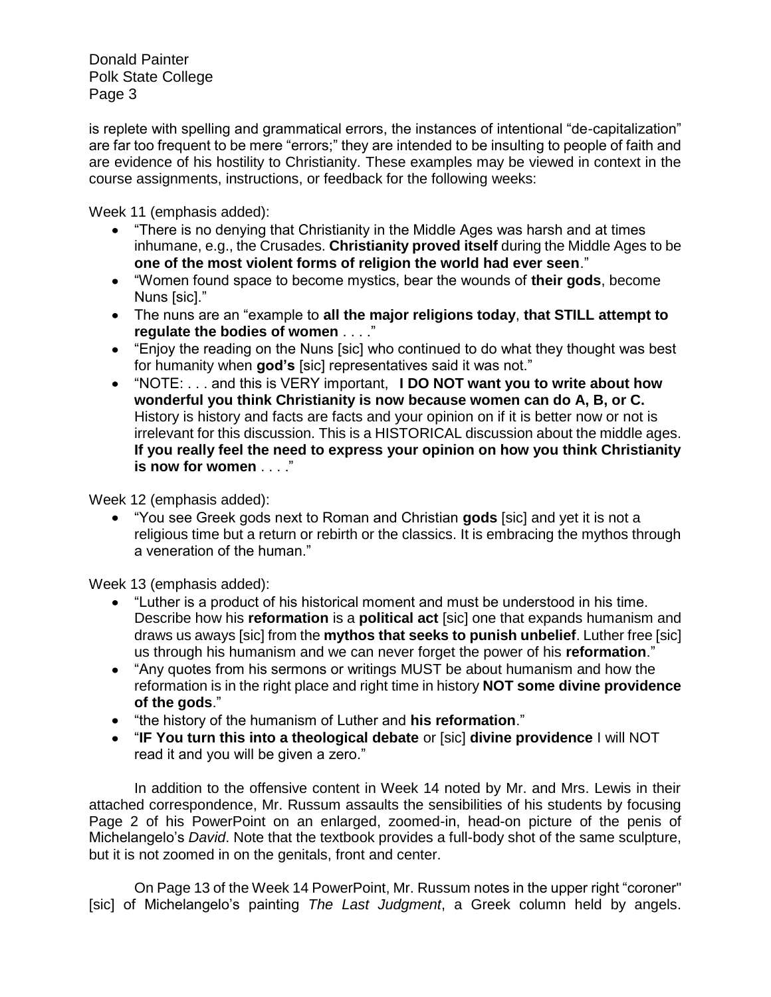is replete with spelling and grammatical errors, the instances of intentional "de-capitalization" are far too frequent to be mere "errors;" they are intended to be insulting to people of faith and are evidence of his hostility to Christianity. These examples may be viewed in context in the course assignments, instructions, or feedback for the following weeks:

Week 11 (emphasis added):

- "There is no denying that Christianity in the Middle Ages was harsh and at times inhumane, e.g., the Crusades. **Christianity proved itself** during the Middle Ages to be **one of the most violent forms of religion the world had ever seen**."
- "Women found space to become mystics, bear the wounds of **their gods**, become Nuns [sic]."
- The nuns are an "example to **all the major religions today**, **that STILL attempt to regulate the bodies of women** . . . ."
- "Enjoy the reading on the Nuns [sic] who continued to do what they thought was best for humanity when **god's** [sic] representatives said it was not."
- "NOTE: . . . and this is VERY important, **I DO NOT want you to write about how wonderful you think Christianity is now because women can do A, B, or C.** History is history and facts are facts and your opinion on if it is better now or not is irrelevant for this discussion. This is a HISTORICAL discussion about the middle ages. **If you really feel the need to express your opinion on how you think Christianity is now for women** . . . ."

Week 12 (emphasis added):

"You see Greek gods next to Roman and Christian **gods** [sic] and yet it is not a religious time but a return or rebirth or the classics. It is embracing the mythos through a veneration of the human."

Week 13 (emphasis added):

- "Luther is a product of his historical moment and must be understood in his time. Describe how his **reformation** is a **political act** [sic] one that expands humanism and draws us aways [sic] from the **mythos that seeks to punish unbelief**. Luther free [sic] us through his humanism and we can never forget the power of his **reformation**."
- "Any quotes from his sermons or writings MUST be about humanism and how the reformation is in the right place and right time in history **NOT some divine providence of the gods**."
- "the history of the humanism of Luther and **his reformation**."
- "**IF You turn this into a theological debate** or [sic] **divine providence** I will NOT read it and you will be given a zero."

In addition to the offensive content in Week 14 noted by Mr. and Mrs. Lewis in their attached correspondence, Mr. Russum assaults the sensibilities of his students by focusing Page 2 of his PowerPoint on an enlarged, zoomed-in, head-on picture of the penis of Michelangelo's *David*. Note that the textbook provides a full-body shot of the same sculpture, but it is not zoomed in on the genitals, front and center.

On Page 13 of the Week 14 PowerPoint, Mr. Russum notes in the upper right "coroner" [sic] of Michelangelo's painting *The Last Judgment*, a Greek column held by angels.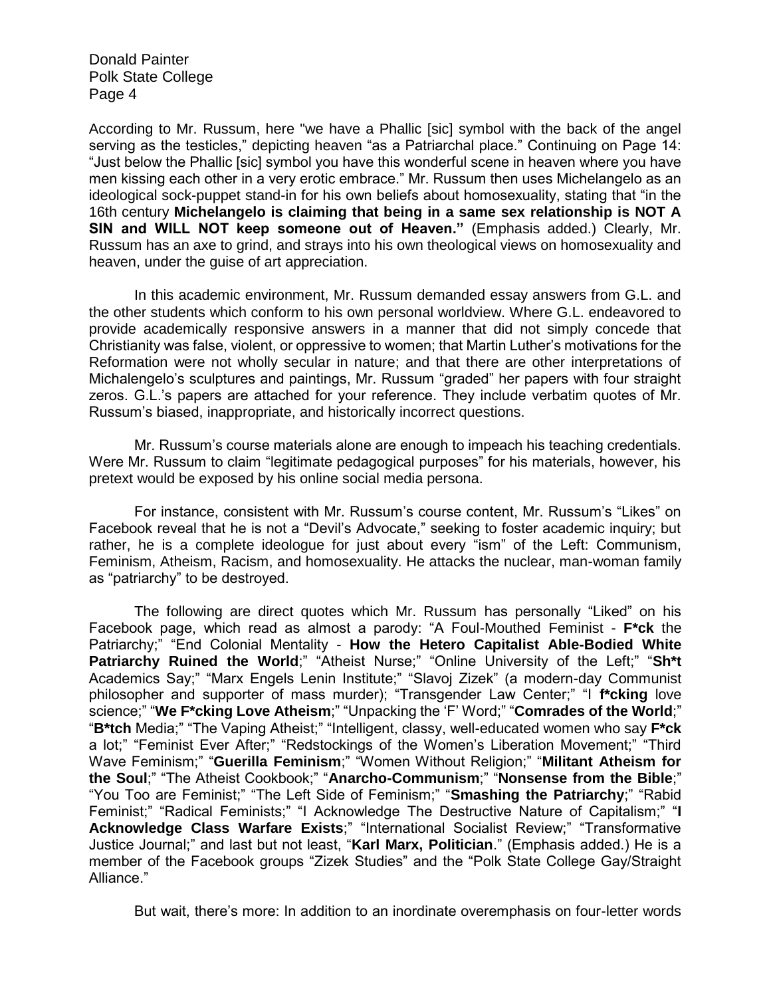According to Mr. Russum, here "we have a Phallic [sic] symbol with the back of the angel serving as the testicles," depicting heaven "as a Patriarchal place." Continuing on Page 14: "Just below the Phallic [sic] symbol you have this wonderful scene in heaven where you have men kissing each other in a very erotic embrace." Mr. Russum then uses Michelangelo as an ideological sock-puppet stand-in for his own beliefs about homosexuality, stating that "in the 16th century **Michelangelo is claiming that being in a same sex relationship is NOT A SIN and WILL NOT keep someone out of Heaven."** (Emphasis added.) Clearly, Mr. Russum has an axe to grind, and strays into his own theological views on homosexuality and heaven, under the guise of art appreciation.

In this academic environment, Mr. Russum demanded essay answers from G.L. and the other students which conform to his own personal worldview. Where G.L. endeavored to provide academically responsive answers in a manner that did not simply concede that Christianity was false, violent, or oppressive to women; that Martin Luther's motivations for the Reformation were not wholly secular in nature; and that there are other interpretations of Michalengelo's sculptures and paintings, Mr. Russum "graded" her papers with four straight zeros. G.L.'s papers are attached for your reference. They include verbatim quotes of Mr. Russum's biased, inappropriate, and historically incorrect questions.

Mr. Russum's course materials alone are enough to impeach his teaching credentials. Were Mr. Russum to claim "legitimate pedagogical purposes" for his materials, however, his pretext would be exposed by his online social media persona.

For instance, consistent with Mr. Russum's course content, Mr. Russum's "Likes" on Facebook reveal that he is not a "Devil's Advocate," seeking to foster academic inquiry; but rather, he is a complete ideologue for just about every "ism" of the Left: Communism, Feminism, Atheism, Racism, and homosexuality. He attacks the nuclear, man-woman family as "patriarchy" to be destroyed.

The following are direct quotes which Mr. Russum has personally "Liked" on his Facebook page, which read as almost a parody: "A Foul-Mouthed Feminist - **F\*ck** the Patriarchy;" "End Colonial Mentality - **How the Hetero Capitalist Able-Bodied White Patriarchy Ruined the World**;" "Atheist Nurse;" "Online University of the Left;" "**Sh\*t** Academics Say;" "Marx Engels Lenin Institute;" "Slavoj Zizek" (a modern-day Communist philosopher and supporter of mass murder); "Transgender Law Center;" "I **f\*cking** love science;" "**We F\*cking Love Atheism**;" "Unpacking the 'F' Word;" "**Comrades of the World**;" "**B\*tch** Media;" "The Vaping Atheist;" "Intelligent, classy, well-educated women who say **F\*ck** a lot;" "Feminist Ever After;" "Redstockings of the Women's Liberation Movement;" "Third Wave Feminism;" "**Guerilla Feminism**;" "Women Without Religion;" "**Militant Atheism for the Soul**;" "The Atheist Cookbook;" "**Anarcho-Communism**;" "**Nonsense from the Bible**;" "You Too are Feminist;" "The Left Side of Feminism;" "**Smashing the Patriarchy**;" "Rabid Feminist;" "Radical Feminists;" "I Acknowledge The Destructive Nature of Capitalism;" "**I Acknowledge Class Warfare Exists**;" "International Socialist Review;" "Transformative Justice Journal;" and last but not least, "**Karl Marx, Politician**." (Emphasis added.) He is a member of the Facebook groups "Zizek Studies" and the "Polk State College Gay/Straight Alliance."

But wait, there's more: In addition to an inordinate overemphasis on four-letter words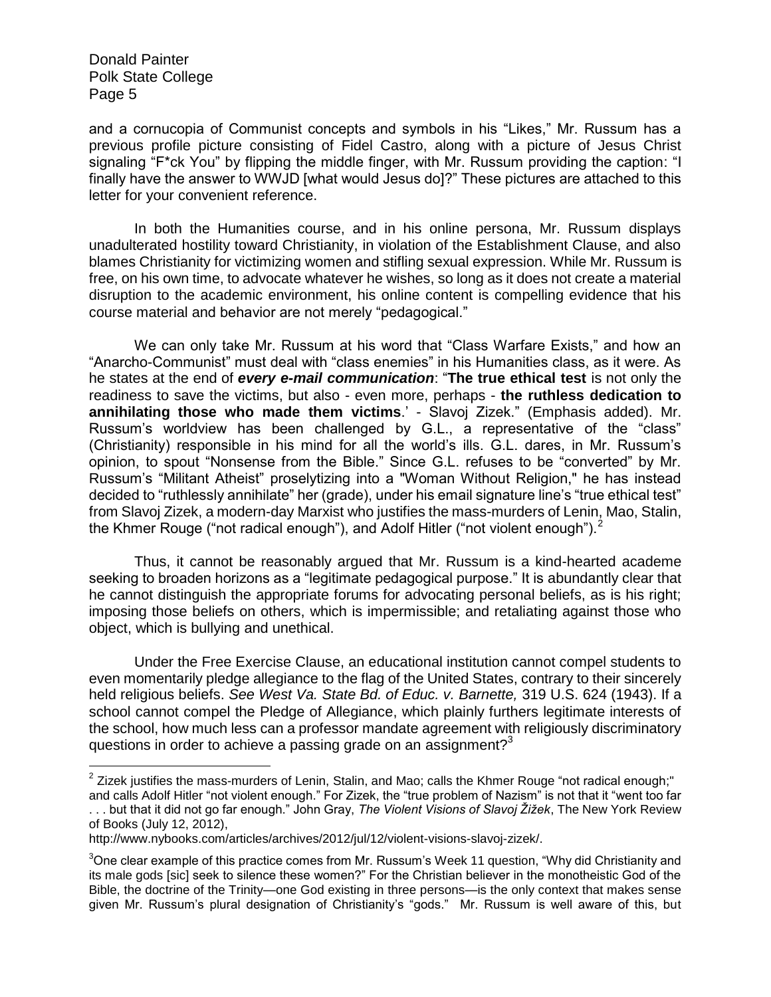$\overline{a}$ 

and a cornucopia of Communist concepts and symbols in his "Likes," Mr. Russum has a previous profile picture consisting of Fidel Castro, along with a picture of Jesus Christ signaling "F\*ck You" by flipping the middle finger, with Mr. Russum providing the caption: "I finally have the answer to WWJD [what would Jesus do]?" These pictures are attached to this letter for your convenient reference.

In both the Humanities course, and in his online persona, Mr. Russum displays unadulterated hostility toward Christianity, in violation of the Establishment Clause, and also blames Christianity for victimizing women and stifling sexual expression. While Mr. Russum is free, on his own time, to advocate whatever he wishes, so long as it does not create a material disruption to the academic environment, his online content is compelling evidence that his course material and behavior are not merely "pedagogical."

We can only take Mr. Russum at his word that "Class Warfare Exists," and how an "Anarcho-Communist" must deal with "class enemies" in his Humanities class, as it were. As he states at the end of *every e-mail communication*: "**The true ethical test** is not only the readiness to save the victims, but also - even more, perhaps - **the ruthless dedication to annihilating those who made them victims**.' - Slavoj Zizek." (Emphasis added). Mr. Russum's worldview has been challenged by G.L., a representative of the "class" (Christianity) responsible in his mind for all the world's ills. G.L. dares, in Mr. Russum's opinion, to spout "Nonsense from the Bible." Since G.L. refuses to be "converted" by Mr. Russum's "Militant Atheist" proselytizing into a "Woman Without Religion," he has instead decided to "ruthlessly annihilate" her (grade), under his email signature line's "true ethical test" from Slavoj Zizek, a modern-day Marxist who justifies the mass-murders of Lenin, Mao, Stalin, the Khmer Rouge ("not radical enough"), and Adolf Hitler ("not violent enough"). $2$ 

Thus, it cannot be reasonably argued that Mr. Russum is a kind-hearted academe seeking to broaden horizons as a "legitimate pedagogical purpose." It is abundantly clear that he cannot distinguish the appropriate forums for advocating personal beliefs, as is his right; imposing those beliefs on others, which is impermissible; and retaliating against those who object, which is bullying and unethical.

Under the Free Exercise Clause, an educational institution cannot compel students to even momentarily pledge allegiance to the flag of the United States, contrary to their sincerely held religious beliefs. *See West Va. State Bd. of Educ. v. Barnette,* 319 U.S. 624 (1943). If a school cannot compel the Pledge of Allegiance, which plainly furthers legitimate interests of the school, how much less can a professor mandate agreement with religiously discriminatory questions in order to achieve a passing grade on an assignment? $3<sup>3</sup>$ 

 $^2$  Zizek justifies the mass-murders of Lenin, Stalin, and Mao; calls the Khmer Rouge "not radical enough;"

and calls Adolf Hitler "not violent enough." For Zizek, the "true problem of Nazism" is not that it "went too far . . . but that it did not go far enough." John Gray, *The Violent Visions of Slavoj Žižek*, The New York Review of Books (July 12, 2012),

http://www.nybooks.com/articles/archives/2012/jul/12/violent-visions-slavoj-zizek/.

<sup>3</sup>One clear example of this practice comes from Mr. Russum's Week 11 question, "Why did Christianity and its male gods [sic] seek to silence these women?" For the Christian believer in the monotheistic God of the Bible, the doctrine of the Trinity—one God existing in three persons—is the only context that makes sense given Mr. Russum's plural designation of Christianity's "gods." Mr. Russum is well aware of this, but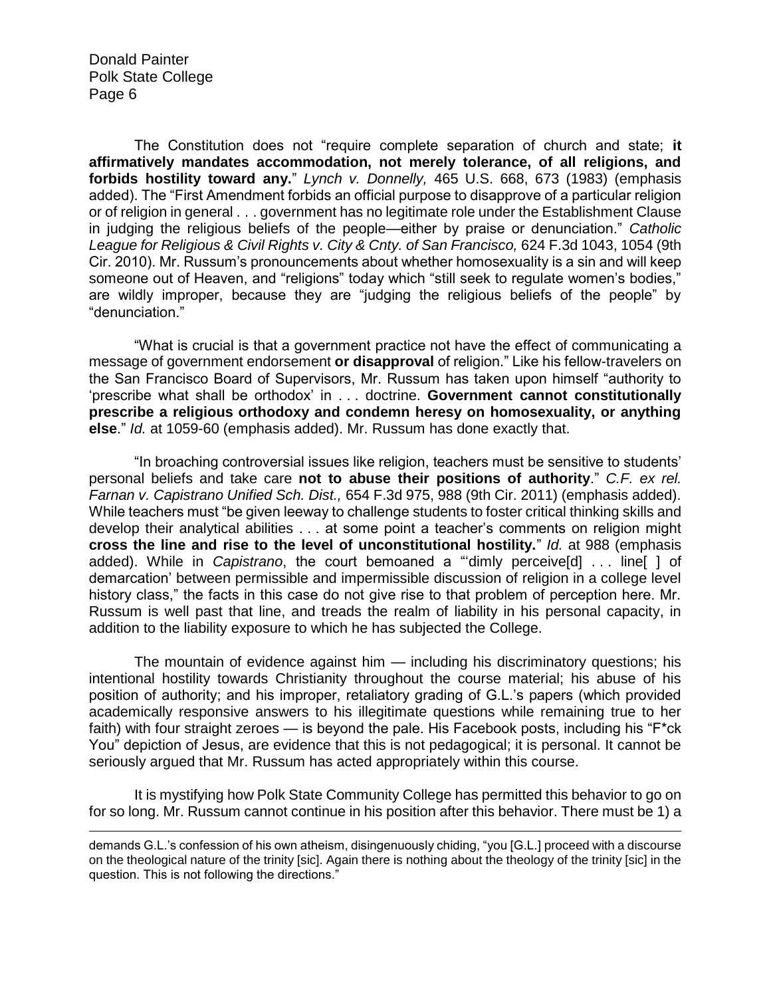$\overline{a}$ 

The Constitution does not "require complete separation of church and state; **it affirmatively mandates accommodation, not merely tolerance, of all religions, and forbids hostility toward any.**" *Lynch v. Donnelly,* 465 U.S. 668, 673 (1983) (emphasis added). The "First Amendment forbids an official purpose to disapprove of a particular religion or of religion in general . . . government has no legitimate role under the Establishment Clause in judging the religious beliefs of the people—either by praise or denunciation." *Catholic League for Religious & Civil Rights v. City & Cnty. of San Francisco,* 624 F.3d 1043, 1054 (9th Cir. 2010). Mr. Russum's pronouncements about whether homosexuality is a sin and will keep someone out of Heaven, and "religions" today which "still seek to regulate women's bodies," are wildly improper, because they are "judging the religious beliefs of the people" by "denunciation."

"What is crucial is that a government practice not have the effect of communicating a message of government endorsement **or disapproval** of religion." Like his fellow-travelers on the San Francisco Board of Supervisors, Mr. Russum has taken upon himself "authority to 'prescribe what shall be orthodox' in . . . doctrine. **Government cannot constitutionally prescribe a religious orthodoxy and condemn heresy on homosexuality, or anything else**." *Id.* at 1059-60 (emphasis added). Mr. Russum has done exactly that.

"In broaching controversial issues like religion, teachers must be sensitive to students' personal beliefs and take care **not to abuse their positions of authority**." *C.F. ex rel. Farnan v. Capistrano Unified Sch. Dist.,* 654 F.3d 975, 988 (9th Cir. 2011) (emphasis added). While teachers must "be given leeway to challenge students to foster critical thinking skills and develop their analytical abilities . . . at some point a teacher's comments on religion might **cross the line and rise to the level of unconstitutional hostility.**" *Id.* at 988 (emphasis added). While in *Capistrano*, the court bemoaned a "'dimly perceive[d] . . . line[ ] of demarcation' between permissible and impermissible discussion of religion in a college level history class," the facts in this case do not give rise to that problem of perception here. Mr. Russum is well past that line, and treads the realm of liability in his personal capacity, in addition to the liability exposure to which he has subjected the College.

The mountain of evidence against him — including his discriminatory questions; his intentional hostility towards Christianity throughout the course material; his abuse of his position of authority; and his improper, retaliatory grading of G.L.'s papers (which provided academically responsive answers to his illegitimate questions while remaining true to her faith) with four straight zeroes — is beyond the pale. His Facebook posts, including his "F\*ck You" depiction of Jesus, are evidence that this is not pedagogical; it is personal. It cannot be seriously argued that Mr. Russum has acted appropriately within this course.

It is mystifying how Polk State Community College has permitted this behavior to go on for so long. Mr. Russum cannot continue in his position after this behavior. There must be 1) a

demands G.L.'s confession of his own atheism, disingenuously chiding, "you [G.L.] proceed with a discourse on the theological nature of the trinity [sic]. Again there is nothing about the theology of the trinity [sic] in the question. This is not following the directions."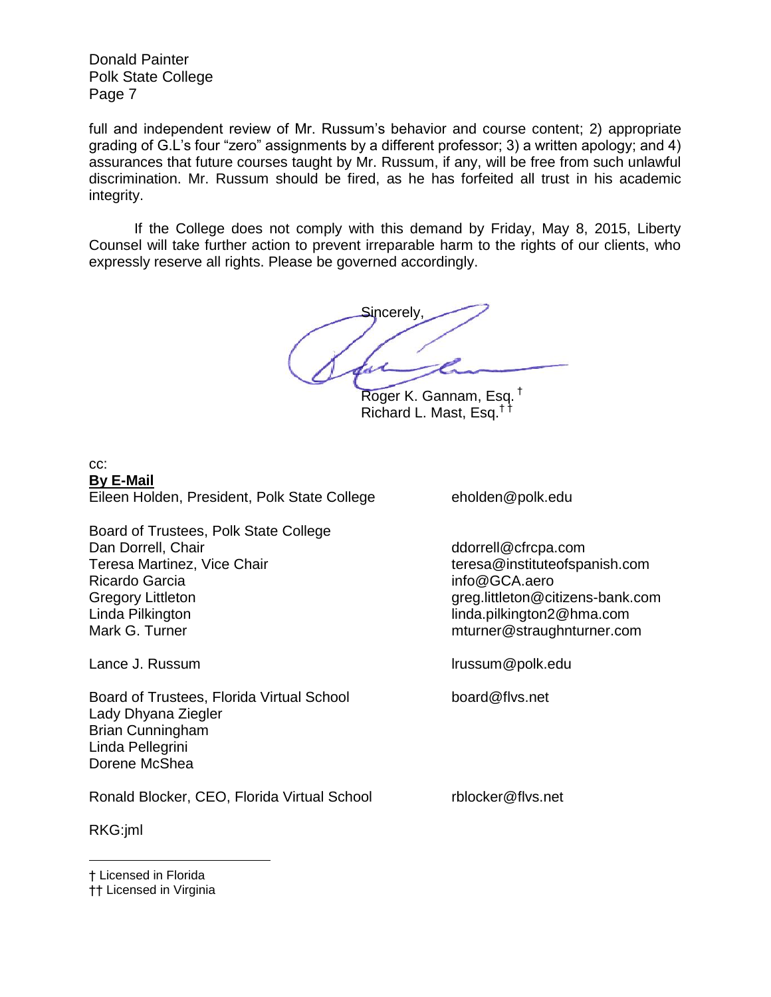full and independent review of Mr. Russum's behavior and course content; 2) appropriate grading of G.L's four "zero" assignments by a different professor; 3) a written apology; and 4) assurances that future courses taught by Mr. Russum, if any, will be free from such unlawful discrimination. Mr. Russum should be fired, as he has forfeited all trust in his academic integrity.

If the College does not comply with this demand by Friday, May 8, 2015, Liberty Counsel will take further action to prevent irreparable harm to the rights of our clients, who expressly reserve all rights. Please be governed accordingly.

**Si**ncerely

Roger K. Gannam, Esq. † Richard L. Mast, Esq.† †

## cc: **By E-Mail** Eileen Holden, President, Polk State College eholden@polk.edu

Board of Trustees, Polk State College Dan Dorrell, Chair ddorrell@cfrcpa.com Teresa Martinez, Vice Chair teresa@instituteofspanish.com Ricardo Garcia info@GCA.aero Gregory Littleton Gregory Littleton Gregory Littleton Gregory Littleton Gregory Littleton Gregory Littleton G Linda Pilkington linda.pilkington2@hma.com Mark G. Turner metal metal metal metal metal metal metal metal metal metal metal metal metal metal metal metal

Board of Trustees, Florida Virtual School board@flvs.net Lady Dhyana Ziegler Brian Cunningham Linda Pellegrini Dorene McShea

Ronald Blocker, CEO, Florida Virtual School rblocker@flvs.net

RKG:jml

 $\overline{a}$ 

Lance J. Russum lrussum@polk.edu

† Licensed in Florida

†† Licensed in Virginia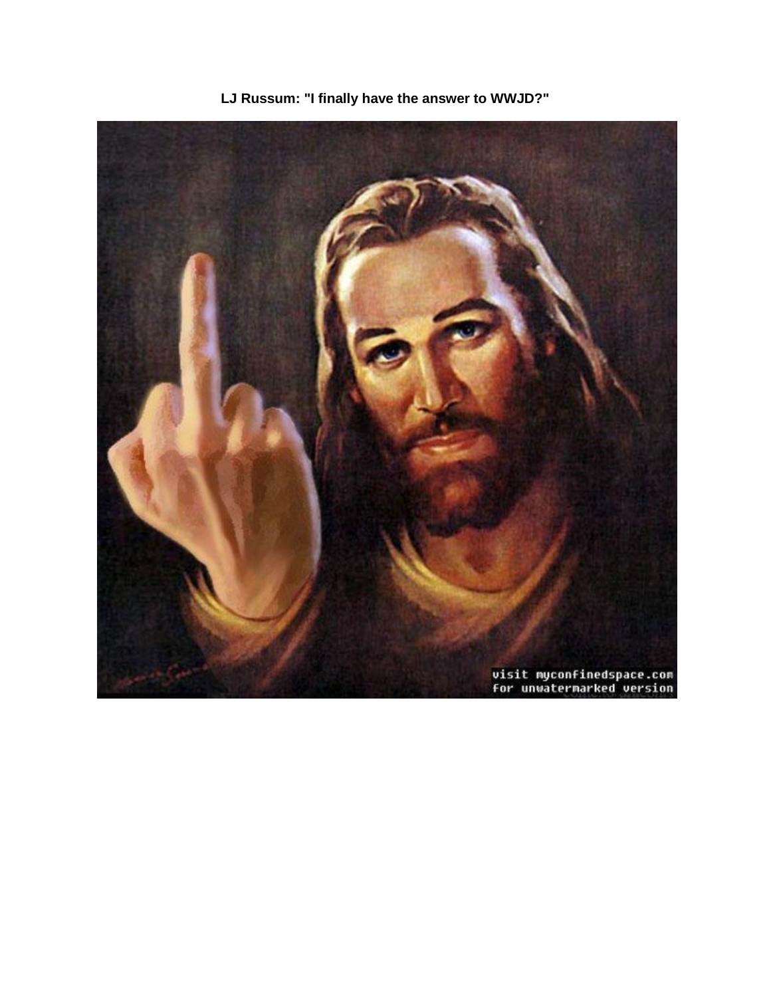

**LJ Russum: "I finally have the answer to WWJD?"**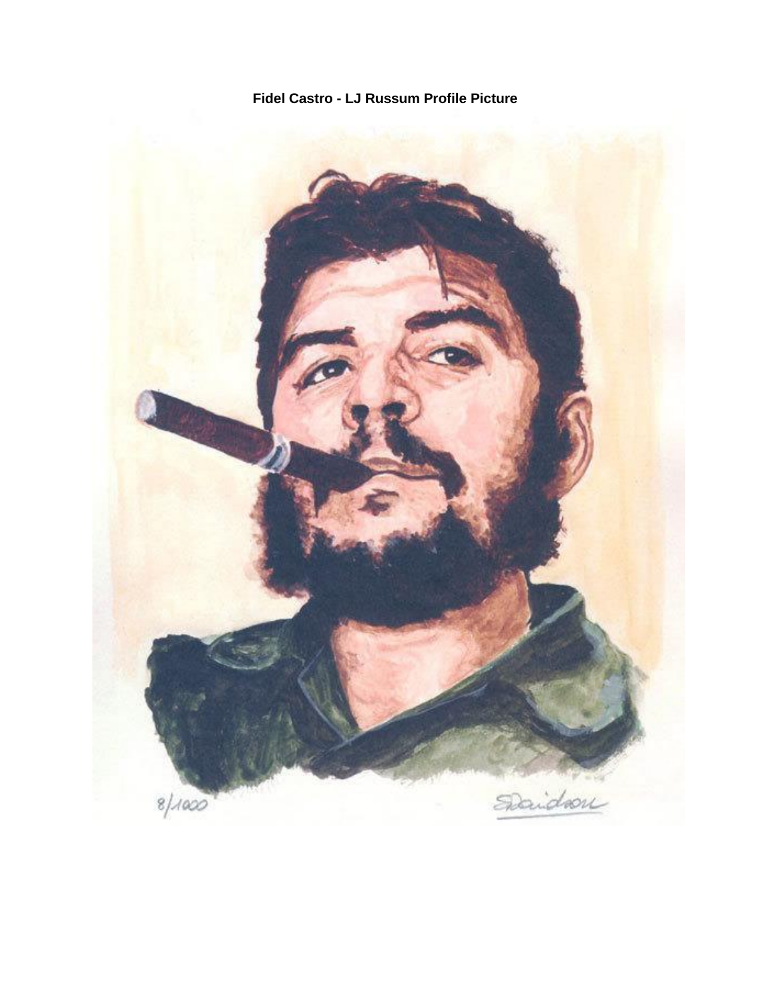